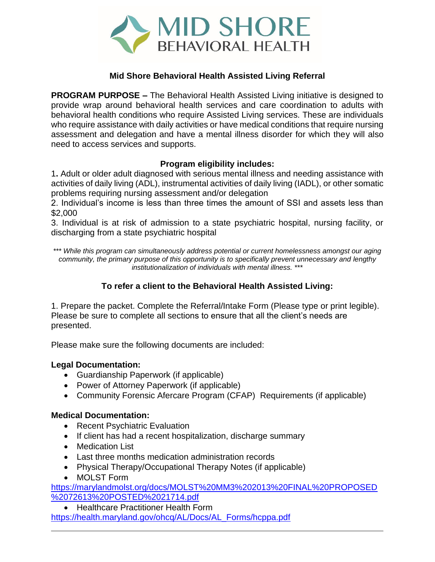

# **Mid Shore Behavioral Health Assisted Living Referral**

**PROGRAM PURPOSE –** The Behavioral Health Assisted Living initiative is designed to provide wrap around behavioral health services and care coordination to adults with behavioral health conditions who require Assisted Living services. These are individuals who require assistance with daily activities or have medical conditions that require nursing assessment and delegation and have a mental illness disorder for which they will also need to access services and supports.

## **Program eligibility includes:**

1**.** Adult or older adult diagnosed with serious mental illness and needing assistance with activities of daily living (ADL), instrumental activities of daily living (IADL), or other somatic problems requiring nursing assessment and/or delegation

2. Individual's income is less than three times the amount of SSI and assets less than \$2,000

3. Individual is at risk of admission to a state psychiatric hospital, nursing facility, or discharging from a state psychiatric hospital

*\*\*\* While this program can simultaneously address potential or current homelessness amongst our aging community, the primary purpose of this opportunity is to specifically prevent unnecessary and lengthy institutionalization of individuals with mental illness. \*\*\**

# **To refer a client to the Behavioral Health Assisted Living:**

1. Prepare the packet. Complete the Referral/Intake Form (Please type or print legible). Please be sure to complete all sections to ensure that all the client's needs are presented.

Please make sure the following documents are included:

## **Legal Documentation:**

- Guardianship Paperwork (if applicable)
- Power of Attorney Paperwork (if applicable)
- Community Forensic Afercare Program (CFAP) Requirements (if applicable)

## **Medical Documentation:**

- Recent Psychiatric Evaluation
- If client has had a recent hospitalization, discharge summary
- Medication List
- Last three months medication administration records
- Physical Therapy/Occupational Therapy Notes (if applicable)
- MOLST Form

[https://marylandmolst.org/docs/MOLST%20MM3%202013%20FINAL%20PROPOSED](https://marylandmolst.org/docs/MOLST%20MM3%202013%20FINAL%20PROPOSED%2072613%20POSTED%2021714.pdf) [%2072613%20POSTED%2021714.pdf](https://marylandmolst.org/docs/MOLST%20MM3%202013%20FINAL%20PROPOSED%2072613%20POSTED%2021714.pdf)

• Healthcare Practitioner Health Form [https://health.maryland.gov/ohcq/AL/Docs/AL\\_Forms/hcppa.pdf](https://health.maryland.gov/ohcq/AL/Docs/AL_Forms/hcppa.pdf)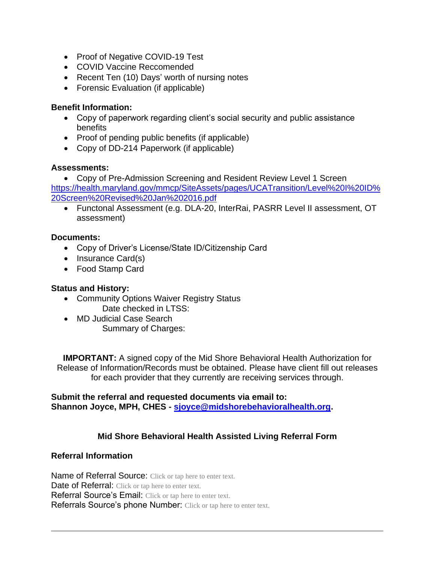- Proof of Negative COVID-19 Test
- COVID Vaccine Reccomended
- Recent Ten (10) Days' worth of nursing notes
- Forensic Evaluation (if applicable)

## **Benefit Information:**

- Copy of paperwork regarding client's social security and public assistance benefits
- Proof of pending public benefits (if applicable)
- Copy of DD-214 Paperwork (if applicable)

## **Assessments:**

• Copy of Pre-Admission Screening and Resident Review Level 1 Screen [https://health.maryland.gov/mmcp/SiteAssets/pages/UCATransition/Level%20I%20ID%](https://health.maryland.gov/mmcp/SiteAssets/pages/UCATransition/Level%20I%20ID%20Screen%20Revised%20Jan%202016.pdf) [20Screen%20Revised%20Jan%202016.pdf](https://health.maryland.gov/mmcp/SiteAssets/pages/UCATransition/Level%20I%20ID%20Screen%20Revised%20Jan%202016.pdf)

• Functonal Assessment (e.g. DLA-20, InterRai, PASRR Level II assessment, OT assessment)

# **Documents:**

- Copy of Driver's License/State ID/Citizenship Card
- Insurance Card(s)
- Food Stamp Card

## **Status and History:**

- Community Options Waiver Registry Status Date checked in LTSS:
- MD Judicial Case Search Summary of Charges:

**IMPORTANT:** A signed copy of the Mid Shore Behavioral Health Authorization for Release of Information/Records must be obtained. Please have client fill out releases for each provider that they currently are receiving services through.

**Submit the referral and requested documents via email to: Shannon Joyce, MPH, CHES - [sjoyce@midshorebehavioralhealth.org.](mailto:sjoyce@midshorebehavioralhealth.org)** 

# **Mid Shore Behavioral Health Assisted Living Referral Form**

## **Referral Information**

Name of Referral Source: Click or tap here to enter text. Date of Referral: Click or tap here to enter text. Referral Source's Email: Click or tap here to enter text. Referrals Source's phone Number: Click or tap here to enter text.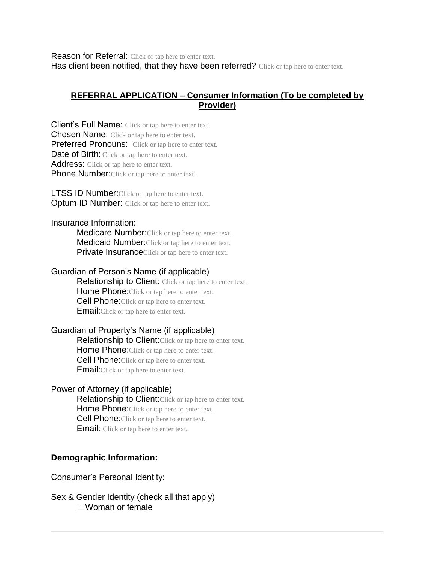Reason for Referral: Click or tap here to enter text. Has client been notified, that they have been referred? Click or tap here to enter text.

# **REFERRAL APPLICATION – Consumer Information (To be completed by Provider)**

Client's Full Name: Click or tap here to enter text. Chosen Name: Click or tap here to enter text. Preferred Pronouns: Click or tap here to enter text. Date of Birth: Click or tap here to enter text. Address: Click or tap here to enter text. Phone Number: Click or tap here to enter text.

**LTSS ID Number:**Click or tap here to enter text. **Optum ID Number:** Click or tap here to enter text.

#### Insurance Information:

**Medicare Number:**Click or tap here to enter text. **Medicaid Number:** Click or tap here to enter text. **Private Insurance**Click or tap here to enter text.

#### Guardian of Person's Name (if applicable)

Relationship to Client: Click or tap here to enter text. Home Phone: Click or tap here to enter text. **Cell Phone:**Click or tap here to enter text. **Email:** Click or tap here to enter text.

#### Guardian of Property's Name (if applicable)

Relationship to Client: Click or tap here to enter text. Home Phone: Click or tap here to enter text. **Cell Phone:**Click or tap here to enter text. **Email:**Click or tap here to enter text.

## Power of Attorney (if applicable)

Relationship to Client: Click or tap here to enter text. Home Phone: Click or tap here to enter text. **Cell Phone:** Click or tap here to enter text. **Email:** Click or tap here to enter text.

# **Demographic Information:**

Consumer's Personal Identity:

Sex & Gender Identity (check all that apply) ☐Woman or female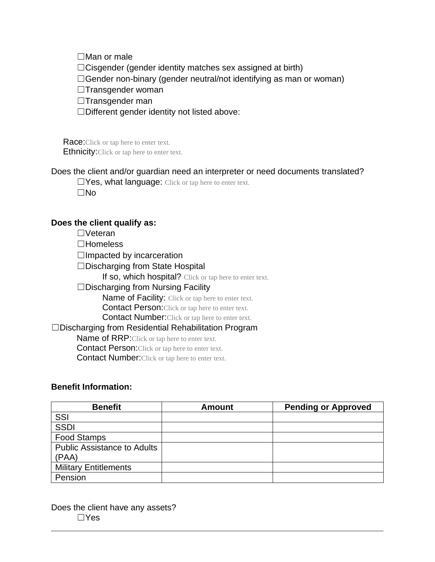☐Man or male

 $\Box$ Cisgender (gender identity matches sex assigned at birth)

 $\Box$ Gender non-binary (gender neutral/not identifying as man or woman)

☐Transgender woman

☐Transgender man

☐Different gender identity not listed above:

Race: Click or tap here to enter text. **Ethnicity:**Click or tap here to enter text.

Does the client and/or guardian need an interpreter or need documents translated?

□Yes, what language: Click or tap here to enter text. ☐No

## **Does the client qualify as:**

☐Veteran

☐Homeless

 $\Box$ Impacted by incarceration

☐Discharging from State Hospital

If so, which hospital? Click or tap here to enter text.

#### $\square$ Discharging from Nursing Facility

Name of Facility: Click or tap here to enter text.

**Contact Person:**Click or tap here to enter text.

**Contact Number:** Click or tap here to enter text.

## ☐Discharging from Residential Rehabilitation Program

Name of RRP: Click or tap here to enter text.

Contact Person:Click or tap here to enter text.

Contact Number:Click or tap here to enter text.

#### **Benefit Information:**

| <b>Benefit</b>                     | <b>Amount</b> | <b>Pending or Approved</b> |
|------------------------------------|---------------|----------------------------|
| SSI                                |               |                            |
| <b>SSDI</b>                        |               |                            |
| <b>Food Stamps</b>                 |               |                            |
| <b>Public Assistance to Adults</b> |               |                            |
| (PAA)                              |               |                            |
| <b>Military Entitlements</b>       |               |                            |
| Pension                            |               |                            |

Does the client have any assets? ☐Yes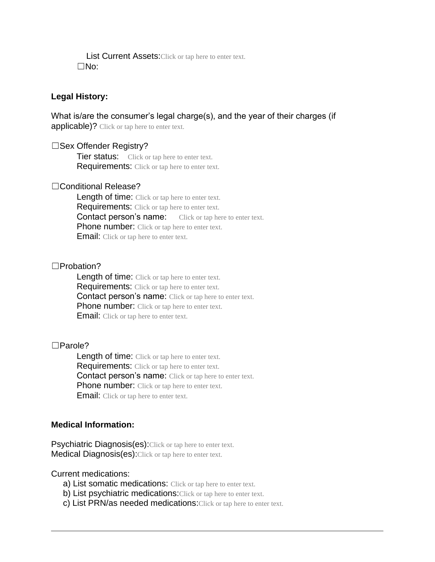List Current Assets: Click or tap here to enter text. ☐No:

#### **Legal History:**

What is/are the consumer's legal charge(s), and the year of their charges (if applicable)? Click or tap here to enter text.

#### ☐Sex Offender Registry?

**Tier status:** Click or tap here to enter text. Requirements: Click or tap here to enter text.

#### □Conditional Release?

Length of time: Click or tap here to enter text. Requirements: Click or tap here to enter text. **Contact person's name:** Click or tap here to enter text. Phone number: Click or tap here to enter text. **Email:** Click or tap here to enter text.

#### ☐Probation?

Length of time: Click or tap here to enter text. **Requirements:** Click or tap here to enter text. Contact person's name: Click or tap here to enter text. **Phone number:** Click or tap here to enter text. **Email:** Click or tap here to enter text.

#### ☐Parole?

Length of time: Click or tap here to enter text. **Requirements:** Click or tap here to enter text. **Contact person's name:** Click or tap here to enter text. **Phone number:** Click or tap here to enter text. **Email:** Click or tap here to enter text.

#### **Medical Information:**

Psychiatric Diagnosis(es): Click or tap here to enter text. Medical Diagnosis(es): Click or tap here to enter text.

Current medications:

- a) List somatic medications: Click or tap here to enter text.
- b) List psychiatric medications: Click or tap here to enter text.
- c) List PRN/as needed medications: Click or tap here to enter text.